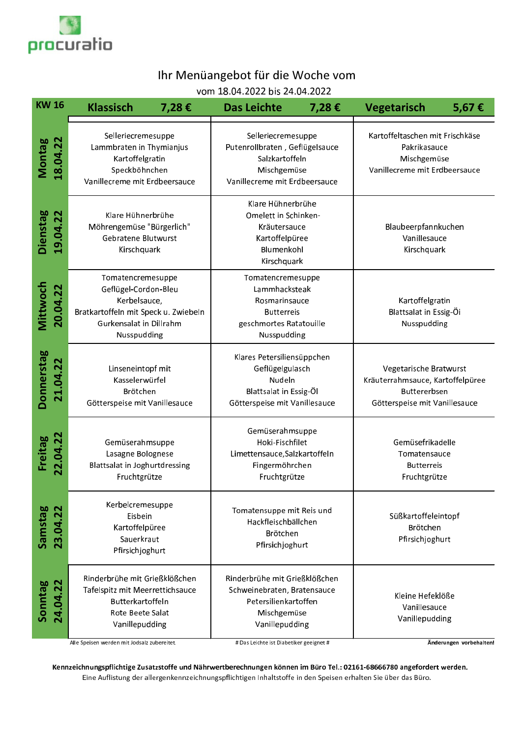

## Ihr Menüangebot für die Woche vom

vom 18.04.2022 bis 24.04.2022

| <b>KW16</b>                 | <b>Klassisch</b><br>7,28€                                                                                                                   | <b>Das Leichte</b><br>7,28€                                                                                                                                                                                               | 5,67€<br><b>Vegetarisch</b>                                                                                        |  |
|-----------------------------|---------------------------------------------------------------------------------------------------------------------------------------------|---------------------------------------------------------------------------------------------------------------------------------------------------------------------------------------------------------------------------|--------------------------------------------------------------------------------------------------------------------|--|
| 18.04.22<br>Montag          | Selleriecremesuppe<br>Lammbraten in Thymianjus<br>Kartoffelgratin<br>Speckböhnchen<br>Vanillecreme mit Erdbeersauce                         | Kartoffeltaschen mit Frischkäse<br>Selleriecremesuppe<br>Putenrollbraten, Geflügelsauce<br>Pakrikasauce<br>Salzkartoffeln<br>Mischgemüse<br>Mischgemüse<br>Vanillecreme mit Erdbeersauce<br>Vanillecreme mit Erdbeersauce |                                                                                                                    |  |
| <b>Dienstag</b><br>19.04.22 | Klare Hühnerbrühe<br>Möhrengemüse "Bürgerlich"<br>Gebratene Blutwurst<br>Kirschquark                                                        | Klare Hühnerbrühe<br>Omelett in Schinken-<br>Kräutersauce<br>Kartoffelpüree<br>Blumenkohl<br>Kirschquark                                                                                                                  | Blaubeerpfannkuchen<br>Vanillesauce<br>Kirschquark                                                                 |  |
| <b>Mittwoch</b><br>20.04.22 | Tomatencremesuppe<br>Geflügel-Cordon-Bleu<br>Kerbelsauce,<br>Bratkartoffeln mit Speck u. Zwiebeln<br>Gurkensalat in Dillrahm<br>Nusspudding | Tomatencremesuppe<br>Lammhacksteak<br>Rosmarinsauce<br><b>Butterreis</b><br>geschmortes Ratatouille<br>Nusspudding                                                                                                        | Kartoffelgratin<br>Blattsalat in Essig-Öi<br>Nusspudding                                                           |  |
| Donnerstag<br>21.04.22      | Linseneintopf mit<br>Kasselerwürfel<br>Brötchen<br>Götterspeise mit Vanillesauce                                                            | Klares Petersiliensüppchen<br>Geflügelgulasch<br>Nudeln<br>Blattsalat in Essig-Öl<br>Götterspeise mit Vanillesauce                                                                                                        | Vegetarische Bratwurst<br>Kräuterrahmsauce, Kartoffelpüree<br><b>Buttererbsen</b><br>Götterspeise mit Vanillesauce |  |
| 22.04.22<br>Freitag         | Gemüserahmsuppe<br>Lasagne Bolognese<br>Blattsalat in Joghurtdressing<br>Fruchtgrütze                                                       | Gemüserahmsuppe<br>Hoki-Fischfilet<br>Limettensauce, Salzkartoffeln<br>Fingermöhrchen<br>Fruchtgrütze                                                                                                                     | Gemüsefrikadelle<br>Tomatensauce<br><b>Butterreis</b><br>Fruchtgrütze                                              |  |
| Samstag<br>23.04.22         | Kerbelcremesuppe<br>Eisbein<br>Kartoffelpüree<br>Sauerkraut<br>Pfirsichjoghurt                                                              | Tomatensuppe mit Reis und<br>Hackfleischbällchen<br><b>Brötchen</b><br>Pfirsichjoghurt                                                                                                                                    | Süßkartoffeleintopf<br>Brötchen<br>Pfirsichjoghurt                                                                 |  |
| Sonntag<br>24.04.22         | Rinderbrühe mit Grießklößchen<br>Tafelspitz mit Meerrettichsauce<br><b>Butterkartoffeln</b><br>Rote Beete Salat<br>Vanillepudding           | Rinderbrühe mit Grießklößchen<br>Schweinebraten, Bratensauce<br>Petersilienkartoffen<br>Mischgemüse<br>Vanillepudding                                                                                                     | Kleine Hefeklöße<br>Vanillesauce<br>Vanillepudding                                                                 |  |
|                             | Alle Speisen werden mit Jodsalz zubereitet.                                                                                                 | # Das Leichte ist Diabetiker geeignet #                                                                                                                                                                                   | Änderungen vorbehalten!                                                                                            |  |

results the contract of the contract of the contract of the contract of the contract of the contract of the con

Kennzeichnungspflichtige Zusatzstoffe und Nährwertberechnungen können im Büro Tel.: 02161-68666780 angefordert werden. Eine Auflistung der allergenkennzeichnungspflichtigen Inhaltstoffe in den Speisen erhalten Sie über das Büro.